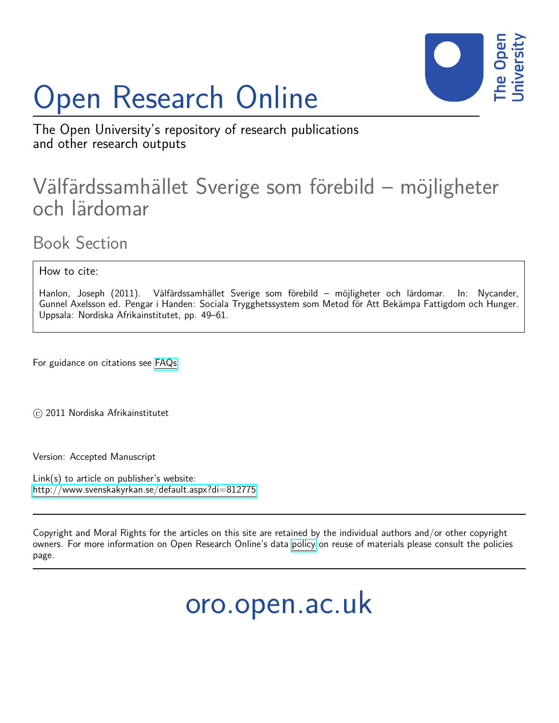# Open Research Online



The Open University's repository of research publications and other research outputs

## Välfärdssamhället Sverige som förebild – möjligheter och lärdomar

Book Section

How to cite:

Hanlon, Joseph (2011). Välfärdssamhället Sverige som förebild – möjligheter och lärdomar. In: Nycander, Gunnel Axelsson ed. Pengar i Handen: Sociala Trygghetssystem som Metod för Att Bekämpa Fattigdom och Hunger. Uppsala: Nordiska Afrikainstitutet, pp. 49–61.

For guidance on citations see [FAQs.](http://oro.open.ac.uk/help/helpfaq.html)

c 2011 Nordiska Afrikainstitutet

Version: Accepted Manuscript

Link(s) to article on publisher's website: <http://www.svenskakyrkan.se/default.aspx?di=812775>

Copyright and Moral Rights for the articles on this site are retained by the individual authors and/or other copyright owners. For more information on Open Research Online's data [policy](http://oro.open.ac.uk/policies.html) on reuse of materials please consult the policies page.

oro.open.ac.uk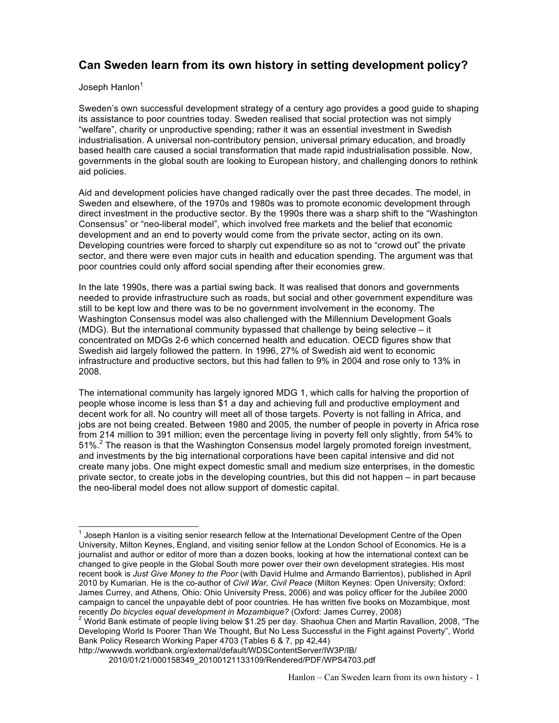### **Can Sweden learn from its own history in setting development policy?**

#### Joseph Hanlon $1$

Sweden's own successful development strategy of a century ago provides a good guide to shaping its assistance to poor countries today. Sweden realised that social protection was not simply "welfare", charity or unproductive spending; rather it was an essential investment in Swedish industrialisation. A universal non-contributory pension, universal primary education, and broadly based health care caused a social transformation that made rapid industrialisation possible. Now, governments in the global south are looking to European history, and challenging donors to rethink aid policies.

Aid and development policies have changed radically over the past three decades. The model, in Sweden and elsewhere, of the 1970s and 1980s was to promote economic development through direct investment in the productive sector. By the 1990s there was a sharp shift to the "Washington Consensus" or "neo-liberal model", which involved free markets and the belief that economic development and an end to poverty would come from the private sector, acting on its own. Developing countries were forced to sharply cut expenditure so as not to "crowd out" the private sector, and there were even major cuts in health and education spending. The argument was that poor countries could only afford social spending after their economies grew.

In the late 1990s, there was a partial swing back. It was realised that donors and governments needed to provide infrastructure such as roads, but social and other government expenditure was still to be kept low and there was to be no government involvement in the economy. The Washington Consensus model was also challenged with the Millennium Development Goals (MDG). But the international community bypassed that challenge by being selective – it concentrated on MDGs 2-6 which concerned health and education. OECD figures show that Swedish aid largely followed the pattern. In 1996, 27% of Swedish aid went to economic infrastructure and productive sectors, but this had fallen to 9% in 2004 and rose only to 13% in 2008.

The international community has largely ignored MDG 1, which calls for halving the proportion of people whose income is less than \$1 a day and achieving full and productive employment and decent work for all. No country will meet all of those targets. Poverty is not falling in Africa, and jobs are not being created. Between 1980 and 2005, the number of people in poverty in Africa rose from 214 million to 391 million; even the percentage living in poverty fell only slightly, from 54% to 51%.2 The reason is that the Washington Consensus model largely promoted foreign investment, and investments by the big international corporations have been capital intensive and did not create many jobs. One might expect domestic small and medium size enterprises, in the domestic private sector, to create jobs in the developing countries, but this did not happen – in part because the neo-liberal model does not allow support of domestic capital.

 <sup>1</sup> Joseph Hanlon is a visiting senior research fellow at the International Development Centre of the Open University, Milton Keynes, England, and visiting senior fellow at the London School of Economics. He is a journalist and author or editor of more than a dozen books, looking at how the international context can be changed to give people in the Global South more power over their own development strategies. His most recent book is *Just Give Money to the Poor* (with David Hulme and Armando Barrientos), published in April 2010 by Kumarian. He is the co-author of *Civil War, Civil Peace* (Milton Keynes: Open University; Oxford: James Currey, and Athens, Ohio: Ohio University Press, 2006) and was policy officer for the Jubilee 2000 campaign to cancel the unpayable debt of poor countries. He has written five books on Mozambique, most recently *Do bicycles equal development in Mozambique?* (Oxford: James Currey, 2008)<br><sup>2</sup> World Bank estimate of people living below \$1.25 per day. Shaohua Chen and Martin Ravallion, 2008, "The

Developing World Is Poorer Than We Thought, But No Less Successful in the Fight against Poverty", World Bank Policy Research Working Paper 4703 (Tables 6 & 7, pp 42,44)

http://wwwwds.worldbank.org/external/default/WDSContentServer/IW3P/IB/

<sup>2010/01/21/000158349</sup>\_20100121133109/Rendered/PDF/WPS4703.pdf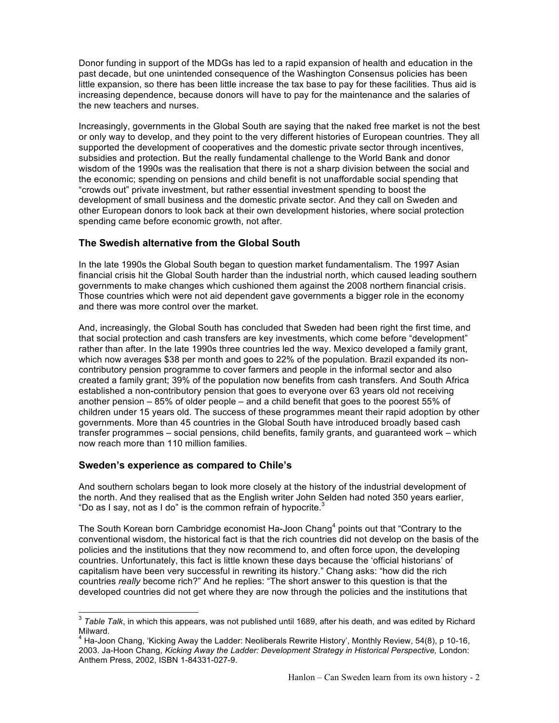Donor funding in support of the MDGs has led to a rapid expansion of health and education in the past decade, but one unintended consequence of the Washington Consensus policies has been little expansion, so there has been little increase the tax base to pay for these facilities. Thus aid is increasing dependence, because donors will have to pay for the maintenance and the salaries of the new teachers and nurses.

Increasingly, governments in the Global South are saying that the naked free market is not the best or only way to develop, and they point to the very different histories of European countries. They all supported the development of cooperatives and the domestic private sector through incentives, subsidies and protection. But the really fundamental challenge to the World Bank and donor wisdom of the 1990s was the realisation that there is not a sharp division between the social and the economic; spending on pensions and child benefit is not unaffordable social spending that "crowds out" private investment, but rather essential investment spending to boost the development of small business and the domestic private sector. And they call on Sweden and other European donors to look back at their own development histories, where social protection spending came before economic growth, not after.

#### **The Swedish alternative from the Global South**

In the late 1990s the Global South began to question market fundamentalism. The 1997 Asian financial crisis hit the Global South harder than the industrial north, which caused leading southern governments to make changes which cushioned them against the 2008 northern financial crisis. Those countries which were not aid dependent gave governments a bigger role in the economy and there was more control over the market.

And, increasingly, the Global South has concluded that Sweden had been right the first time, and that social protection and cash transfers are key investments, which come before "development" rather than after. In the late 1990s three countries led the way. Mexico developed a family grant, which now averages \$38 per month and goes to 22% of the population. Brazil expanded its noncontributory pension programme to cover farmers and people in the informal sector and also created a family grant; 39% of the population now benefits from cash transfers. And South Africa established a non-contributory pension that goes to everyone over 63 years old not receiving another pension – 85% of older people – and a child benefit that goes to the poorest 55% of children under 15 years old. The success of these programmes meant their rapid adoption by other governments. More than 45 countries in the Global South have introduced broadly based cash transfer programmes – social pensions, child benefits, family grants, and guaranteed work – which now reach more than 110 million families.

#### **Sweden's experience as compared to Chile's**

And southern scholars began to look more closely at the history of the industrial development of the north. And they realised that as the English writer John Selden had noted 350 years earlier, "Do as I say, not as I do" is the common refrain of hypocrite. $3$ 

The South Korean born Cambridge economist Ha-Joon Chang<sup>4</sup> points out that "Contrary to the conventional wisdom, the historical fact is that the rich countries did not develop on the basis of the policies and the institutions that they now recommend to, and often force upon, the developing countries. Unfortunately, this fact is little known these days because the 'official historians' of capitalism have been very successful in rewriting its history." Chang asks: "how did the rich countries *really* become rich?" And he replies: "The short answer to this question is that the developed countries did not get where they are now through the policies and the institutions that

 <sup>3</sup> *Table Talk*, in which this appears, was not published until 1689, after his death, and was edited by Richard Milward.<br><sup>4</sup> Ha-Joon Chang, 'Kicking Away the Ladder: Neoliberals Rewrite History', Monthly Review, 54(8), p 10-16,

<sup>2003.</sup> Ja-Hoon Chang, *Kicking Away the Ladder: Development Strategy in Historical Perspective,* London: Anthem Press, 2002, ISBN 1-84331-027-9.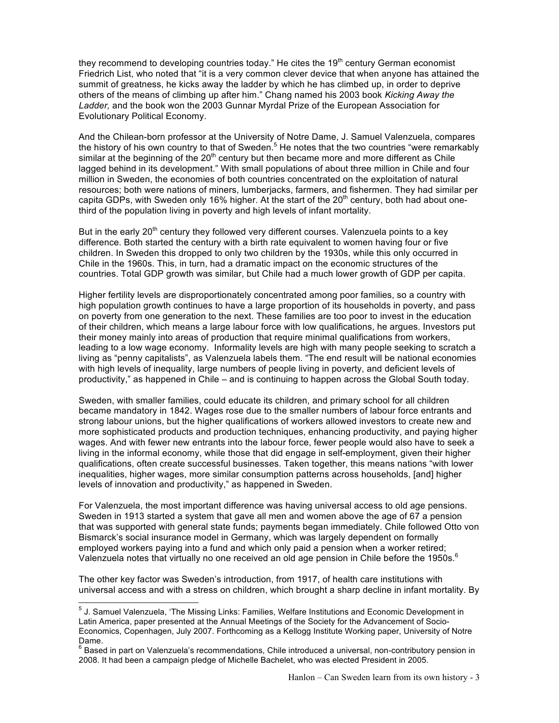they recommend to developing countries today." He cites the 19<sup>th</sup> century German economist Friedrich List, who noted that "it is a very common clever device that when anyone has attained the summit of greatness, he kicks away the ladder by which he has climbed up, in order to deprive others of the means of climbing up after him." Chang named his 2003 book *Kicking Away the Ladder,* and the book won the 2003 Gunnar Myrdal Prize of the European Association for Evolutionary Political Economy.

And the Chilean-born professor at the University of Notre Dame, J. Samuel Valenzuela, compares the history of his own country to that of Sweden.<sup>5</sup> He notes that the two countries "were remarkably" similar at the beginning of the  $20<sup>th</sup>$  century but then became more and more different as Chile lagged behind in its development." With small populations of about three million in Chile and four million in Sweden, the economies of both countries concentrated on the exploitation of natural resources; both were nations of miners, lumberjacks, farmers, and fishermen. They had similar per capita GDPs, with Sweden only 16% higher. At the start of the  $20<sup>th</sup>$  century, both had about onethird of the population living in poverty and high levels of infant mortality.

But in the early  $20<sup>th</sup>$  century they followed very different courses. Valenzuela points to a key difference. Both started the century with a birth rate equivalent to women having four or five children. In Sweden this dropped to only two children by the 1930s, while this only occurred in Chile in the 1960s. This, in turn, had a dramatic impact on the economic structures of the countries. Total GDP growth was similar, but Chile had a much lower growth of GDP per capita.

Higher fertility levels are disproportionately concentrated among poor families, so a country with high population growth continues to have a large proportion of its households in poverty, and pass on poverty from one generation to the next. These families are too poor to invest in the education of their children, which means a large labour force with low qualifications, he argues. Investors put their money mainly into areas of production that require minimal qualifications from workers, leading to a low wage economy. Informality levels are high with many people seeking to scratch a living as "penny capitalists", as Valenzuela labels them. "The end result will be national economies with high levels of inequality, large numbers of people living in poverty, and deficient levels of productivity," as happened in Chile – and is continuing to happen across the Global South today.

Sweden, with smaller families, could educate its children, and primary school for all children became mandatory in 1842. Wages rose due to the smaller numbers of labour force entrants and strong labour unions, but the higher qualifications of workers allowed investors to create new and more sophisticated products and production techniques, enhancing productivity, and paying higher wages. And with fewer new entrants into the labour force, fewer people would also have to seek a living in the informal economy, while those that did engage in self-employment, given their higher qualifications, often create successful businesses. Taken together, this means nations "with lower inequalities, higher wages, more similar consumption patterns across households, [and] higher levels of innovation and productivity," as happened in Sweden.

For Valenzuela, the most important difference was having universal access to old age pensions. Sweden in 1913 started a system that gave all men and women above the age of 67 a pension that was supported with general state funds; payments began immediately. Chile followed Otto von Bismarck's social insurance model in Germany, which was largely dependent on formally employed workers paying into a fund and which only paid a pension when a worker retired; Valenzuela notes that virtually no one received an old age pension in Chile before the 1950s.<sup>6</sup>

The other key factor was Sweden's introduction, from 1917, of health care institutions with universal access and with a stress on children, which brought a sharp decline in infant mortality. By

 <sup>5</sup> J. Samuel Valenzuela, 'The Missing Links: Families, Welfare Institutions and Economic Development in Latin America, paper presented at the Annual Meetings of the Society for the Advancement of Socio-Economics, Copenhagen, July 2007. Forthcoming as a Kellogg Institute Working paper, University of Notre

Dame.<br><sup>6</sup> Based in part on Valenzuela's recommendations, Chile introduced a universal, non-contributory pension in 2008. It had been a campaign pledge of Michelle Bachelet, who was elected President in 2005.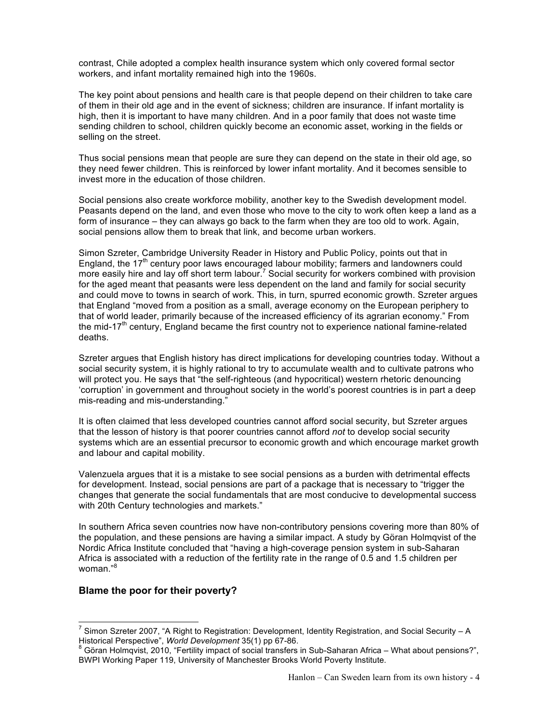contrast, Chile adopted a complex health insurance system which only covered formal sector workers, and infant mortality remained high into the 1960s.

The key point about pensions and health care is that people depend on their children to take care of them in their old age and in the event of sickness; children are insurance. If infant mortality is high, then it is important to have many children. And in a poor family that does not waste time sending children to school, children quickly become an economic asset, working in the fields or selling on the street.

Thus social pensions mean that people are sure they can depend on the state in their old age, so they need fewer children. This is reinforced by lower infant mortality. And it becomes sensible to invest more in the education of those children.

Social pensions also create workforce mobility, another key to the Swedish development model. Peasants depend on the land, and even those who move to the city to work often keep a land as a form of insurance – they can always go back to the farm when they are too old to work. Again, social pensions allow them to break that link, and become urban workers.

Simon Szreter, Cambridge University Reader in History and Public Policy, points out that in England, the  $17<sup>th</sup>$  century poor laws encouraged labour mobility; farmers and landowners could more easily hire and lay off short term labour.<sup>7</sup> Social security for workers combined with provision for the aged meant that peasants were less dependent on the land and family for social security and could move to towns in search of work. This, in turn, spurred economic growth. Szreter argues that England "moved from a position as a small, average economy on the European periphery to that of world leader, primarily because of the increased efficiency of its agrarian economy." From the mid-17<sup>th</sup> century, England became the first country not to experience national famine-related deaths.

Szreter argues that English history has direct implications for developing countries today. Without a social security system, it is highly rational to try to accumulate wealth and to cultivate patrons who will protect you. He says that "the self-righteous (and hypocritical) western rhetoric denouncing 'corruption' in government and throughout society in the world's poorest countries is in part a deep mis-reading and mis-understanding."

It is often claimed that less developed countries cannot afford social security, but Szreter argues that the lesson of history is that poorer countries cannot afford *not* to develop social security systems which are an essential precursor to economic growth and which encourage market growth and labour and capital mobility.

Valenzuela argues that it is a mistake to see social pensions as a burden with detrimental effects for development. Instead, social pensions are part of a package that is necessary to "trigger the changes that generate the social fundamentals that are most conducive to developmental success with 20th Century technologies and markets."

In southern Africa seven countries now have non-contributory pensions covering more than 80% of the population, and these pensions are having a similar impact. A study by Göran Holmqvist of the Nordic Africa Institute concluded that "having a high-coverage pension system in sub-Saharan Africa is associated with a reduction of the fertility rate in the range of 0.5 and 1.5 children per woman."<sup>8</sup>

#### **Blame the poor for their poverty?**

<sup>&</sup>lt;sup>7</sup> Simon Szreter 2007, "A Right to Registration: Development, Identity Registration, and Social Security – A Historical Perspective", *World Development* 35(1) pp 67-86.

Göran Holmqvist, 2010, "Fertility impact of social transfers in Sub-Saharan Africa – What about pensions?", BWPI Working Paper 119, University of Manchester Brooks World Poverty Institute.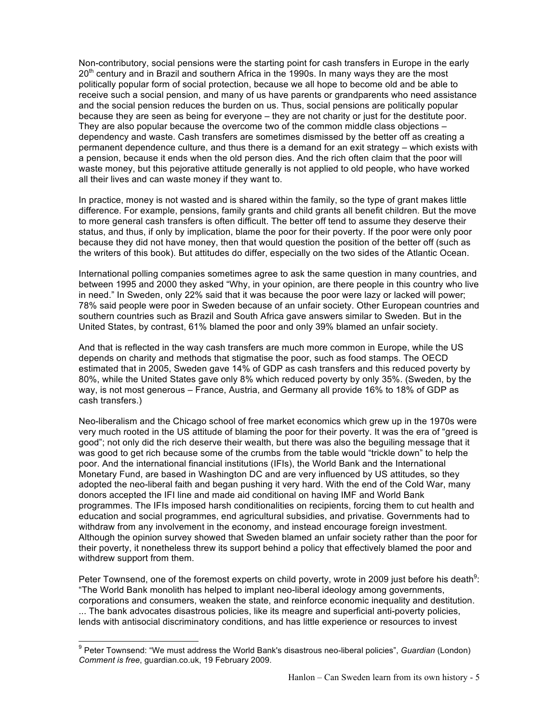Non-contributory, social pensions were the starting point for cash transfers in Europe in the early  $20<sup>th</sup>$  century and in Brazil and southern Africa in the 1990s. In many ways they are the most politically popular form of social protection, because we all hope to become old and be able to receive such a social pension, and many of us have parents or grandparents who need assistance and the social pension reduces the burden on us. Thus, social pensions are politically popular because they are seen as being for everyone – they are not charity or just for the destitute poor. They are also popular because the overcome two of the common middle class objections – dependency and waste. Cash transfers are sometimes dismissed by the better off as creating a permanent dependence culture, and thus there is a demand for an exit strategy – which exists with a pension, because it ends when the old person dies. And the rich often claim that the poor will waste money, but this pejorative attitude generally is not applied to old people, who have worked all their lives and can waste money if they want to.

In practice, money is not wasted and is shared within the family, so the type of grant makes little difference. For example, pensions, family grants and child grants all benefit children. But the move to more general cash transfers is often difficult. The better off tend to assume they deserve their status, and thus, if only by implication, blame the poor for their poverty. If the poor were only poor because they did not have money, then that would question the position of the better off (such as the writers of this book). But attitudes do differ, especially on the two sides of the Atlantic Ocean.

International polling companies sometimes agree to ask the same question in many countries, and between 1995 and 2000 they asked "Why, in your opinion, are there people in this country who live in need." In Sweden, only 22% said that it was because the poor were lazy or lacked will power; 78% said people were poor in Sweden because of an unfair society. Other European countries and southern countries such as Brazil and South Africa gave answers similar to Sweden. But in the United States, by contrast, 61% blamed the poor and only 39% blamed an unfair society.

And that is reflected in the way cash transfers are much more common in Europe, while the US depends on charity and methods that stigmatise the poor, such as food stamps. The OECD estimated that in 2005, Sweden gave 14% of GDP as cash transfers and this reduced poverty by 80%, while the United States gave only 8% which reduced poverty by only 35%. (Sweden, by the way, is not most generous – France, Austria, and Germany all provide 16% to 18% of GDP as cash transfers.)

Neo-liberalism and the Chicago school of free market economics which grew up in the 1970s were very much rooted in the US attitude of blaming the poor for their poverty. It was the era of "greed is good"; not only did the rich deserve their wealth, but there was also the beguiling message that it was good to get rich because some of the crumbs from the table would "trickle down" to help the poor. And the international financial institutions (IFIs), the World Bank and the International Monetary Fund, are based in Washington DC and are very influenced by US attitudes, so they adopted the neo-liberal faith and began pushing it very hard. With the end of the Cold War, many donors accepted the IFI line and made aid conditional on having IMF and World Bank programmes. The IFIs imposed harsh conditionalities on recipients, forcing them to cut health and education and social programmes, end agricultural subsidies, and privatise. Governments had to withdraw from any involvement in the economy, and instead encourage foreign investment. Although the opinion survey showed that Sweden blamed an unfair society rather than the poor for their poverty, it nonetheless threw its support behind a policy that effectively blamed the poor and withdrew support from them.

Peter Townsend, one of the foremost experts on child poverty, wrote in 2009 just before his death $9$ : "The World Bank monolith has helped to implant neo-liberal ideology among governments, corporations and consumers, weaken the state, and reinforce economic inequality and destitution. ... The bank advocates disastrous policies, like its meagre and superficial anti-poverty policies, lends with antisocial discriminatory conditions, and has little experience or resources to invest

 <sup>9</sup> Peter Townsend: "We must address the World Bank's disastrous neo-liberal policies", *Guardian* (London) *Comment is free*, guardian.co.uk, 19 February 2009.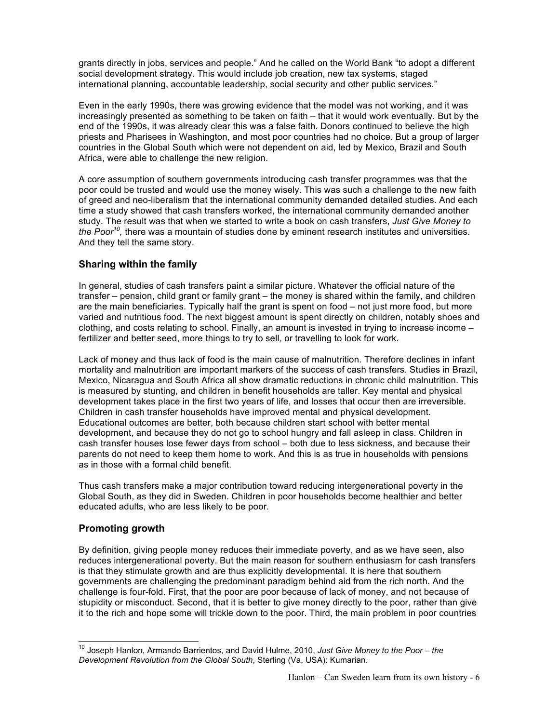grants directly in jobs, services and people." And he called on the World Bank "to adopt a different social development strategy. This would include job creation, new tax systems, staged international planning, accountable leadership, social security and other public services."

Even in the early 1990s, there was growing evidence that the model was not working, and it was increasingly presented as something to be taken on faith – that it would work eventually. But by the end of the 1990s, it was already clear this was a false faith. Donors continued to believe the high priests and Pharisees in Washington, and most poor countries had no choice. But a group of larger countries in the Global South which were not dependent on aid, led by Mexico, Brazil and South Africa, were able to challenge the new religion.

A core assumption of southern governments introducing cash transfer programmes was that the poor could be trusted and would use the money wisely. This was such a challenge to the new faith of greed and neo-liberalism that the international community demanded detailed studies. And each time a study showed that cash transfers worked, the international community demanded another study. The result was that when we started to write a book on cash transfers, *Just Give Money to the Poor10,* there was a mountain of studies done by eminent research institutes and universities. And they tell the same story.

#### **Sharing within the family**

In general, studies of cash transfers paint a similar picture. Whatever the official nature of the transfer – pension, child grant or family grant – the money is shared within the family, and children are the main beneficiaries. Typically half the grant is spent on food – not just more food, but more varied and nutritious food. The next biggest amount is spent directly on children, notably shoes and clothing, and costs relating to school. Finally, an amount is invested in trying to increase income – fertilizer and better seed, more things to try to sell, or travelling to look for work.

Lack of money and thus lack of food is the main cause of malnutrition. Therefore declines in infant mortality and malnutrition are important markers of the success of cash transfers. Studies in Brazil, Mexico, Nicaragua and South Africa all show dramatic reductions in chronic child malnutrition. This is measured by stunting, and children in benefit households are taller. Key mental and physical development takes place in the first two years of life, and losses that occur then are irreversible. Children in cash transfer households have improved mental and physical development. Educational outcomes are better, both because children start school with better mental development, and because they do not go to school hungry and fall asleep in class. Children in cash transfer houses lose fewer days from school – both due to less sickness, and because their parents do not need to keep them home to work. And this is as true in households with pensions as in those with a formal child benefit.

Thus cash transfers make a major contribution toward reducing intergenerational poverty in the Global South, as they did in Sweden. Children in poor households become healthier and better educated adults, who are less likely to be poor.

#### **Promoting growth**

By definition, giving people money reduces their immediate poverty, and as we have seen, also reduces intergenerational poverty. But the main reason for southern enthusiasm for cash transfers is that they stimulate growth and are thus explicitly developmental. It is here that southern governments are challenging the predominant paradigm behind aid from the rich north. And the challenge is four-fold. First, that the poor are poor because of lack of money, and not because of stupidity or misconduct. Second, that it is better to give money directly to the poor, rather than give it to the rich and hope some will trickle down to the poor. Third, the main problem in poor countries

 <sup>10</sup> Joseph Hanlon, Armando Barrientos, and David Hulme, 2010, *Just Give Money to the Poor – the Development Revolution from the Global South*, Sterling (Va, USA): Kumarian.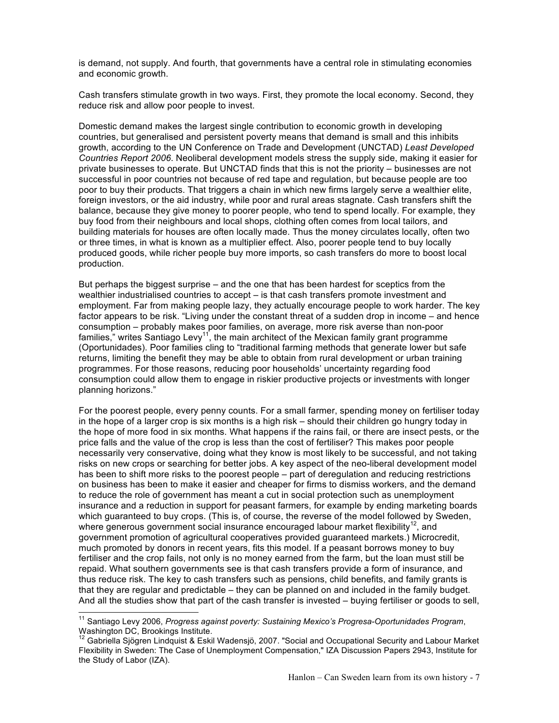is demand, not supply. And fourth, that governments have a central role in stimulating economies and economic growth.

Cash transfers stimulate growth in two ways. First, they promote the local economy. Second, they reduce risk and allow poor people to invest.

Domestic demand makes the largest single contribution to economic growth in developing countries, but generalised and persistent poverty means that demand is small and this inhibits growth, according to the UN Conference on Trade and Development (UNCTAD) *Least Developed Countries Report 2006*. Neoliberal development models stress the supply side, making it easier for private businesses to operate. But UNCTAD finds that this is not the priority – businesses are not successful in poor countries not because of red tape and regulation, but because people are too poor to buy their products. That triggers a chain in which new firms largely serve a wealthier elite, foreign investors, or the aid industry, while poor and rural areas stagnate. Cash transfers shift the balance, because they give money to poorer people, who tend to spend locally. For example, they buy food from their neighbours and local shops, clothing often comes from local tailors, and building materials for houses are often locally made. Thus the money circulates locally, often two or three times, in what is known as a multiplier effect. Also, poorer people tend to buy locally produced goods, while richer people buy more imports, so cash transfers do more to boost local production.

But perhaps the biggest surprise – and the one that has been hardest for sceptics from the wealthier industrialised countries to accept – is that cash transfers promote investment and employment. Far from making people lazy, they actually encourage people to work harder. The key factor appears to be risk. "Living under the constant threat of a sudden drop in income – and hence consumption – probably makes poor families, on average, more risk averse than non-poor families," writes Santiago Levy<sup>11</sup>, the main architect of the Mexican family grant programme (Oportunidades). Poor families cling to "traditional farming methods that generate lower but safe returns, limiting the benefit they may be able to obtain from rural development or urban training programmes. For those reasons, reducing poor households' uncertainty regarding food consumption could allow them to engage in riskier productive projects or investments with longer planning horizons."

For the poorest people, every penny counts. For a small farmer, spending money on fertiliser today in the hope of a larger crop is six months is a high risk – should their children go hungry today in the hope of more food in six months. What happens if the rains fail, or there are insect pests, or the price falls and the value of the crop is less than the cost of fertiliser? This makes poor people necessarily very conservative, doing what they know is most likely to be successful, and not taking risks on new crops or searching for better jobs. A key aspect of the neo-liberal development model has been to shift more risks to the poorest people – part of deregulation and reducing restrictions on business has been to make it easier and cheaper for firms to dismiss workers, and the demand to reduce the role of government has meant a cut in social protection such as unemployment insurance and a reduction in support for peasant farmers, for example by ending marketing boards which guaranteed to buy crops. (This is, of course, the reverse of the model followed by Sweden, where generous government social insurance encouraged labour market flexibility<sup>12</sup>, and government promotion of agricultural cooperatives provided guaranteed markets.) Microcredit, much promoted by donors in recent years, fits this model. If a peasant borrows money to buy fertiliser and the crop fails, not only is no money earned from the farm, but the loan must still be repaid. What southern governments see is that cash transfers provide a form of insurance, and thus reduce risk. The key to cash transfers such as pensions, child benefits, and family grants is that they are regular and predictable – they can be planned on and included in the family budget. And all the studies show that part of the cash transfer is invested – buying fertiliser or goods to sell,

 <sup>11</sup> Santiago Levy 2006, *Progress against poverty: Sustaining Mexico's Progresa-Oportunidades Program*, Washington DC, Brookings Institute.

<sup>&</sup>lt;sup>12</sup> Gabriella Sjögren Lindquist & Eskil Wadensjö, 2007. "Social and Occupational Security and Labour Market Flexibility in Sweden: The Case of Unemployment Compensation," IZA Discussion Papers 2943, Institute for the Study of Labor (IZA).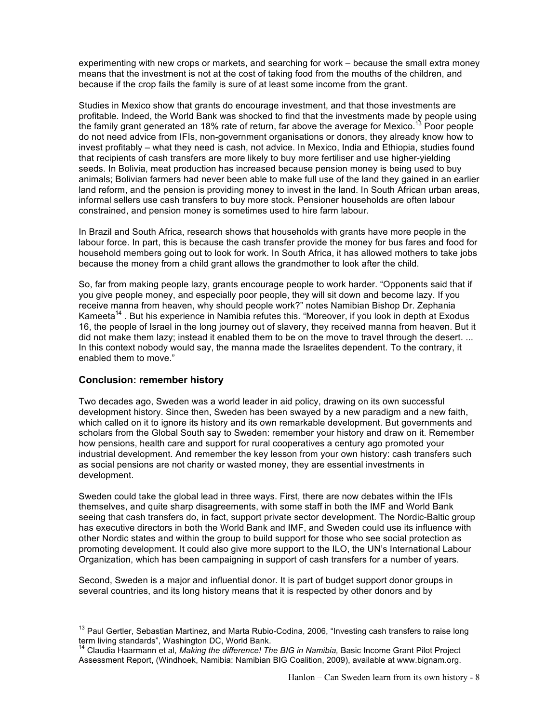experimenting with new crops or markets, and searching for work – because the small extra money means that the investment is not at the cost of taking food from the mouths of the children, and because if the crop fails the family is sure of at least some income from the grant.

Studies in Mexico show that grants do encourage investment, and that those investments are profitable. Indeed, the World Bank was shocked to find that the investments made by people using the family grant generated an 18% rate of return, far above the average for Mexico.<sup>13</sup> Poor people do not need advice from IFIs, non-government organisations or donors, they already know how to invest profitably – what they need is cash, not advice. In Mexico, India and Ethiopia, studies found that recipients of cash transfers are more likely to buy more fertiliser and use higher-yielding seeds. In Bolivia, meat production has increased because pension money is being used to buy animals; Bolivian farmers had never been able to make full use of the land they gained in an earlier land reform, and the pension is providing money to invest in the land. In South African urban areas, informal sellers use cash transfers to buy more stock. Pensioner households are often labour constrained, and pension money is sometimes used to hire farm labour.

In Brazil and South Africa, research shows that households with grants have more people in the labour force. In part, this is because the cash transfer provide the money for bus fares and food for household members going out to look for work. In South Africa, it has allowed mothers to take jobs because the money from a child grant allows the grandmother to look after the child.

So, far from making people lazy, grants encourage people to work harder. "Opponents said that if you give people money, and especially poor people, they will sit down and become lazy. If you receive manna from heaven, why should people work?" notes Namibian Bishop Dr. Zephania Kameeta<sup>14</sup>. But his experience in Namibia refutes this. "Moreover, if you look in depth at Exodus 16, the people of Israel in the long journey out of slavery, they received manna from heaven. But it did not make them lazy; instead it enabled them to be on the move to travel through the desert. ... In this context nobody would say, the manna made the Israelites dependent. To the contrary, it enabled them to move."

#### **Conclusion: remember history**

Two decades ago, Sweden was a world leader in aid policy, drawing on its own successful development history. Since then, Sweden has been swayed by a new paradigm and a new faith, which called on it to ignore its history and its own remarkable development. But governments and scholars from the Global South say to Sweden: remember your history and draw on it. Remember how pensions, health care and support for rural cooperatives a century ago promoted your industrial development. And remember the key lesson from your own history: cash transfers such as social pensions are not charity or wasted money, they are essential investments in development.

Sweden could take the global lead in three ways. First, there are now debates within the IFIs themselves, and quite sharp disagreements, with some staff in both the IMF and World Bank seeing that cash transfers do, in fact, support private sector development. The Nordic-Baltic group has executive directors in both the World Bank and IMF, and Sweden could use its influence with other Nordic states and within the group to build support for those who see social protection as promoting development. It could also give more support to the ILO, the UN's International Labour Organization, which has been campaigning in support of cash transfers for a number of years.

Second, Sweden is a major and influential donor. It is part of budget support donor groups in several countries, and its long history means that it is respected by other donors and by

<sup>&</sup>lt;sup>13</sup> Paul Gertler, Sebastian Martinez, and Marta Rubio-Codina, 2006, "Investing cash transfers to raise long<br>term living standards", Washington DC, World Bank.

<sup>&</sup>lt;sup>14</sup> Claudia Haarmann et al, *Making the difference! The BIG in Namibia*, Basic Income Grant Pilot Project Assessment Report, (Windhoek, Namibia: Namibian BIG Coalition, 2009), available at www.bignam.org.